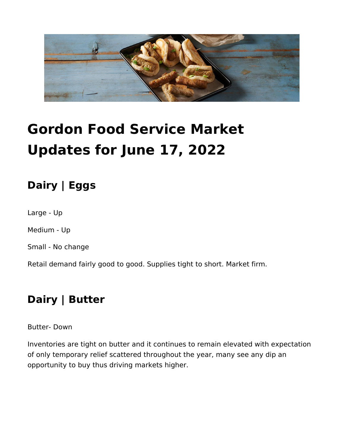

# **Gordon Food Service Market Updates for June 17, 2022**

## **Dairy | Eggs**

Large - Up

Medium - Up

Small - No change

Retail demand fairly good to good. Supplies tight to short. Market firm.

#### **Dairy | Butter**

Butter- Down

Inventories are tight on butter and it continues to remain elevated with expectation of only temporary relief scattered throughout the year, many see any dip an opportunity to buy thus driving markets higher.